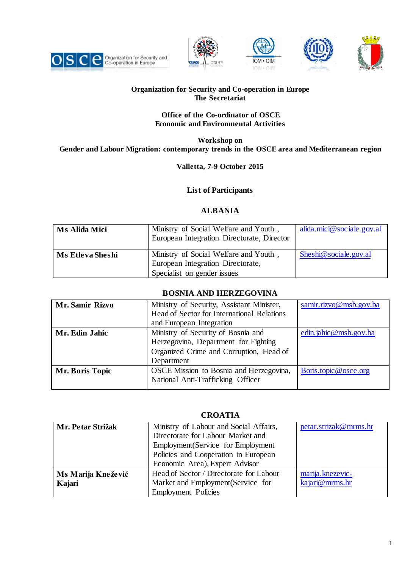









### **Organization for Security and Co-operation in Europe The Secretariat**

#### **Office of the Co-ordinator of OSCE Economic and Environmental Activities**

**Workshop on Gender and Labour Migration: contemporary trends in the OSCE area and Mediterranean region**

### **Valletta, 7-9 October 2015**

## **List of Participants**

## **ALBANIA**

| <b>Ms Alida Mici</b> | Ministry of Social Welfare and Youth,<br>European Integration Directorate, Director                       | alida.mici@sociale.gov.al |
|----------------------|-----------------------------------------------------------------------------------------------------------|---------------------------|
| Ms Etleva Sheshi     | Ministry of Social Welfare and Youth,<br>European Integration Directorate,<br>Specialist on gender issues | Sheshi@sociale.gov.al     |

## **BOSNIA AND HERZEGOVINA**

| Mr. Samir Rizvo | Ministry of Security, Assistant Minister,<br>Head of Sector for International Relations<br>and European Integration                 | samir.rizvo@msb.gov.ba |
|-----------------|-------------------------------------------------------------------------------------------------------------------------------------|------------------------|
| Mr. Edin Jahic  | Ministry of Security of Bosnia and<br>Herzegovina, Department for Fighting<br>Organized Crime and Corruption, Head of<br>Department | edin.jahic@msb.gov.ba  |
| Mr. Boris Topic | OSCE Mission to Bosnia and Herzegovina,<br>National Anti-Trafficking Officer                                                        | Boris.topic@osce.org   |

## **CROATIA**

| Mr. Petar Strižak  | Ministry of Labour and Social Affairs,  | petar.strizak@mrms.hr |
|--------------------|-----------------------------------------|-----------------------|
|                    | Directorate for Labour Market and       |                       |
|                    | Employment (Service for Employment      |                       |
|                    | Policies and Cooperation in European    |                       |
|                    | Economic Area), Expert Advisor          |                       |
| Ms Marija Knežević | Head of Sector / Directorate for Labour | marija.knezevic-      |
| Kajari             | Market and Employment (Service for      | kajari@mrms.hr        |
|                    | <b>Employment Policies</b>              |                       |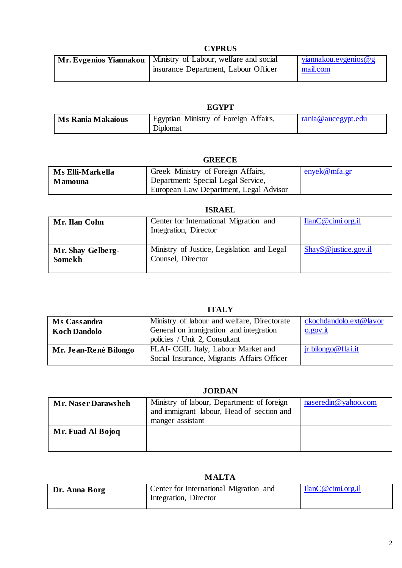### **CYPRUS**

| Mr. Evgenios Yiannakou   Ministry of Labour, welfare and social | viannakou.evgenios@g |
|-----------------------------------------------------------------|----------------------|
| insurance Department, Labour Officer                            | mail.com             |

#### **EGYPT**

| <b>Ms Rania Makaious</b> | Ministry of Foreign Affairs,<br>Egyptian<br>Diplomat | rania@aucegypt.edu |
|--------------------------|------------------------------------------------------|--------------------|
|--------------------------|------------------------------------------------------|--------------------|

### **GREECE**

| Ms Elli-Markella | Greek Ministry of Foreign Affairs,     | enyek@mfa.gr |
|------------------|----------------------------------------|--------------|
| <b>Mamouna</b>   | Department: Special Legal Service,     |              |
|                  | European Law Department, Legal Advisor |              |

#### **ISRAEL**

| Mr. Ilan Cohn               | Center for International Migration and<br>Integration, Director | $I$ lan $C@$ cimi.org.il |
|-----------------------------|-----------------------------------------------------------------|--------------------------|
| Mr. Shay Gelberg-<br>Somekh | Ministry of Justice, Legislation and Legal<br>Counsel, Director | $ShayS@$ justice.gov.il  |

# **ITALY**

| Ms Cassandra<br><b>Koch Dandolo</b> | Ministry of labour and welfare, Directorate<br>General on immigration and integration<br>policies / Unit 2, Consultant | ckochdandolo.ext@lavor<br>$0.90V$ .it |
|-------------------------------------|------------------------------------------------------------------------------------------------------------------------|---------------------------------------|
| Mr. Jean-René Bilongo               | <b>FLAI- CGIL Italy, Labour Market and</b>                                                                             | $\mathbf{\dot{r}}$ . bilongo@flai.it  |
|                                     | Social Insurance, Migrants Affairs Officer                                                                             |                                       |

# **JORDAN**

| Mr. Naser Darawsheh | Ministry of labour, Department: of foreign<br>and immigrant labour, Head of section and<br>manger assistant | naseredin@yahoo.com |
|---------------------|-------------------------------------------------------------------------------------------------------------|---------------------|
| Mr. Fuad Al Bojoq   |                                                                                                             |                     |

# **MALTA**

| Dr. Anna Borg | Center for International Migration and<br>Integration, Director | $I$ lanC@cimi.org.il |
|---------------|-----------------------------------------------------------------|----------------------|
|               |                                                                 |                      |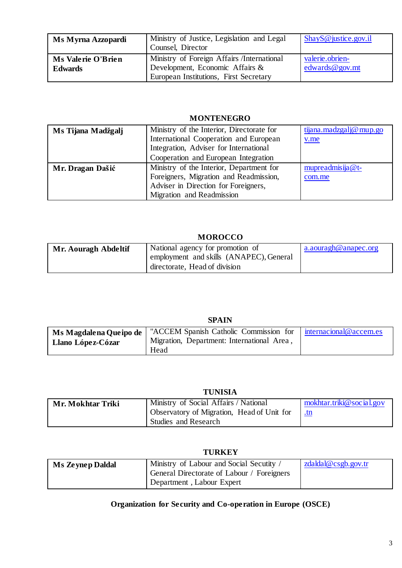| Ms Myrna Azzopardi                   | Ministry of Justice, Legislation and Legal<br>Counsel, Director                                                         | $\mathbf{ShayS@}$ justice.gov.il    |
|--------------------------------------|-------------------------------------------------------------------------------------------------------------------------|-------------------------------------|
| Ms Valerie O'Brien<br><b>Edwards</b> | Ministry of Foreign Affairs /International<br>Development, Economic Affairs &<br>European Institutions, First Secretary | valerie.obrien-<br>edwards @ gov.mt |

#### **MONTENEGRO**

| Ms Tijana Madžgalj | Ministry of the Interior, Directorate for | tijana.madzgalj@mup.go |
|--------------------|-------------------------------------------|------------------------|
|                    | International Cooperation and European    | v.me                   |
|                    | Integration, Adviser for International    |                        |
|                    | Cooperation and European Integration      |                        |
| Mr. Dragan Dašić   | Ministry of the Interior, Department for  | mupreadmisija@t-       |
|                    | Foreigners, Migration and Readmission,    | com.me                 |
|                    | Adviser in Direction for Foreigners,      |                        |
|                    | Migration and Readmission                 |                        |

# **MOROCCO**

| Mr. Aouragh Abdeltif | National agency for promotion of        | a.aouragh@anapec.org |
|----------------------|-----------------------------------------|----------------------|
|                      | employment and skills (ANAPEC), General |                      |
|                      | directorate, Head of division           |                      |

# **SPAIN**

| Ms Magdalena Queipo de | "ACCEM Spanish Catholic Commission for   internacional@accem.es |  |
|------------------------|-----------------------------------------------------------------|--|
| Llano López-Cózar      | Migration, Department: International Area,                      |  |
|                        | Head                                                            |  |

# **TUNISIA**

| Mr. Mokhtar Triki | Ministry of Social Affairs / National      | mokhtar. triki@ social.gov |
|-------------------|--------------------------------------------|----------------------------|
|                   | Observatory of Migration, Head of Unit for | <u>tn</u>                  |
|                   | Studies and Research                       |                            |

#### **TURKEY**

| <b>Ms Zeynep Daldal</b> | Ministry of Labour and Social Secutity /<br>General Directorate of Labour / Foreigners | zdaldal@csgb.gov.tr |
|-------------------------|----------------------------------------------------------------------------------------|---------------------|
|                         | Department, Labour Expert                                                              |                     |

# **Organization for Security and Co-operation in Europe (OSCE)**